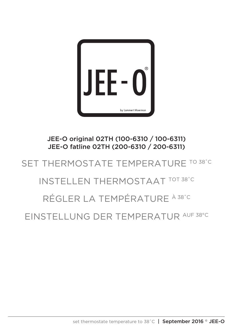

JEE-O original 02TH (100-6310 / 100-6311) JEE-O fatline 02TH (200-6310 / 200-6311)

## SET THERMOSTATE TEMPERATURE TO 38°C

## INSTELLEN THERMOSTAAT TOT 38˚C

## RÉGLER LA TEMPÉRATURE À 38˚C

EINSTELLUNG DER TEMPERATUR AUF 38°C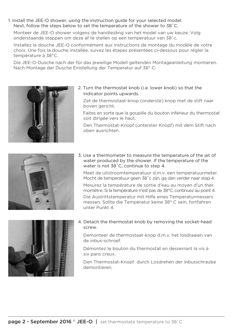1. Install the JEE-O shower, using the instruction guide for your selected model. Next, follow the steps below to set the temperature of the shower to 38˚C.

 Monteer de JEE-O shower volgens de handleiding van het model van uw keuze. Volg onderstaande stappen om deze af te stellen op een temperatuur van 38˚c.

 Installez la douche JEE-O conformément aux instructions de montage du modèle de votre choix. Une fois la douche installée, suivez les étapes présentées ci-dessous pour régler la température à 38°C.

 Die JEE-O-Dusche nach der für das jeweilige Modell geltenden Montageanleitung montieren. Nach Montage der Dusche Einstellung der Temperatur auf 38° C:



2. Turn the thermostat knob (i.e. lower knob) so that the indicator points upwards.

 Zet de thermostaat-knop (onderste) knop met de stift naar boven gericht.

 Faites en sorte que la goupille du bouton inférieur du thermostat soit dirigée vers le haut.

 Den Thermostat-Knopf (unterster Knopf) mit dem Stift nach oben ausrichten.



3. Use a thermometer to measure the temperature of the jet of water produced by the shower. If the temperature of the water is not 38˚C, continue to step 4.

 Meet de uitstroomtemperatuur d.m.v. een temperatuurmeter. Mocht de temperatuur geen 38˚c zijn, ga dan verder naar stap 4. Mesurez la température de sortie d'eau au moyen d'un ther momètre. Si la température n'est pas de 38°C, continuez au point 4. Die Austrittstemperatur mit Hilfe eines Temperaturmessers messen. Sollte die Temperatur keine 38° C sein, fortfahren unter Punkt 4.



4. Detach the thermostat knob by removing the socket-head screw.

 Demonteer de thermostaat-knop d.m.v. het losdraaien van de inbus-schroef.

 Démontez le bouton du thermostat en desserrant la vis à six pans creux.

 Den Thermostat-Knopf durch Losdrehen der Inbusschraube demontieren.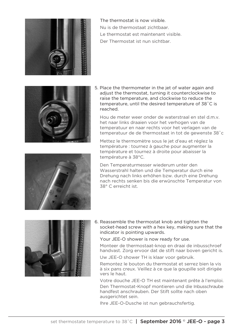

 The thermostat is now visible. Nu is de thermostaat zichtbaar. Le thermostat est maintenant visible. Der Thermostat ist nun sichtbar.



5. Place the thermometer in the jet of water again and adjust the thermostat, turning it counterclockwise to raise the temperature, and clockwise to reduce the temperature, until the desired temperature of 38˚C is reached.

 Hou de meter weer onder de waterstraal en stel d.m.v. het naar links draaien voor het verhogen van de temperatuur en naar rechts voor het verlagen van de temperatuur de de thermostaat in tot de gewenste 38˚c

 Mettez le thermomètre sous le jet d'eau et réglez la température : tournez à gauche pour augmenter la température et tournez à droite pour abaisser la température à 38°C.

 Den Temperaturmesser wiederum unter den Wasserstrahl halten und die Temperatur durch eine Drehung nach links erhöhen bzw. durch eine Drehung nach rechts senken bis die erwünschte Temperatur von 38° C erreicht ist.





- 6. Reassemble the thermostat knob and tighten the socket-head screw with a hex key, making sure that the indicator is pointing upwards.
	- Your JEE-O shower is now ready for use.

 Monteer de thermostaat-knop en draai de inbusschroef handvast. Zorg ervoor dat de stift naar boven gericht is.

Uw JEE-O shower TH is klaar voor gebruik.

 Remontez le bouton du thermostat et serrez bien la vis à six pans creux. Veillez à ce que la goupille soit dirigée vers le haut.

 Votre douche JEE-O TH est maintenant prête à l'emploi. Den Thermostat-Knopf montieren und die Inbusschraube handfest anschrauben. Der Stift sollte nach oben ausgerichtet sein.

Ihre JEE-O-Dusche ist nun gebrauchsfertig.